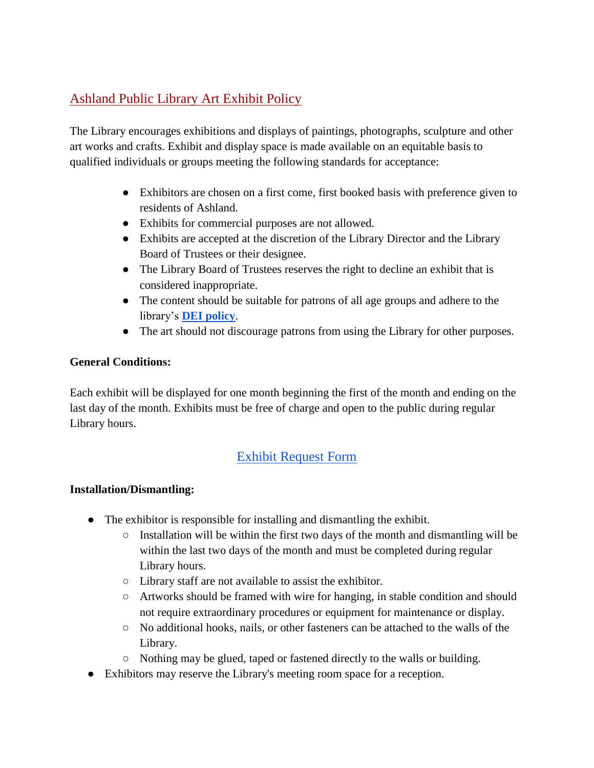## Ashland Public Library Art Exhibit Policy

The Library encourages exhibitions and displays of paintings, photographs, sculpture and other art works and crafts. Exhibit and display space is made available on an equitable basis to qualified individuals or groups meeting the following standards for acceptance:

- Exhibitors are chosen on a first come, first booked basis with preference given to residents of Ashland.
- Exhibits for commercial purposes are not allowed.
- Exhibits are accepted at the discretion of the Library Director and the Library Board of Trustees or their designee.
- The Library Board of Trustees reserves the right to decline an exhibit that is considered inappropriate.
- The content should be suitable for patrons of all age groups and adhere to the library's **[DEI policy](https://docs.google.com/document/d/1sFcR8DE-cVvCG6sE_l_O3jsbWjFZGxW6gt2aPgmYV0A/edit?usp=sharing)**.
- The art should not discourage patrons from using the Library for other purposes.

### **General Conditions:**

Each exhibit will be displayed for one month beginning the first of the month and ending on the last day of the month. Exhibits must be free of charge and open to the public during regular Library hours.

# [Exhibit Request Form](https://docs.google.com/document/d/1-5DEKGAJcrFlO6CiAKSwRKU2Cwbh4vRr9edbwAKiQIU/edit?usp=sharing)

### **Installation/Dismantling:**

- The exhibitor is responsible for installing and dismantling the exhibit.
	- Installation will be within the first two days of the month and dismantling will be within the last two days of the month and must be completed during regular Library hours.
	- Library staff are not available to assist the exhibitor.
	- Artworks should be framed with wire for hanging, in stable condition and should not require extraordinary procedures or equipment for maintenance or display.
	- No additional hooks, nails, or other fasteners can be attached to the walls of the Library.
	- Nothing may be glued, taped or fastened directly to the walls or building.
- Exhibitors may reserve the Library's meeting room space for a reception.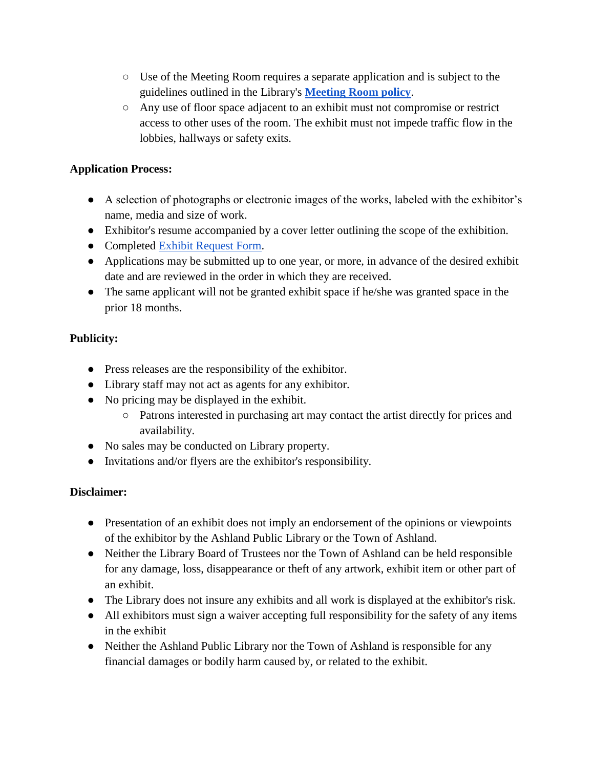- Use of the Meeting Room requires a separate application and is subject to the guidelines outlined in the Library's **[Meeting Room policy](https://docs.google.com/document/d/1Mh25Pshk6S8XpuzaM6Opn9WCOne34Zdbwbx78AOymC4/edit?usp=sharing)**.
- Any use of floor space adjacent to an exhibit must not compromise or restrict access to other uses of the room. The exhibit must not impede traffic flow in the lobbies, hallways or safety exits.

#### **Application Process:**

- A selection of photographs or electronic images of the works, labeled with the exhibitor's name, media and size of work.
- Exhibitor's resume accompanied by a cover letter outlining the scope of the exhibition.
- Completed [Exhibit Request Form.](https://docs.google.com/document/d/1-5DEKGAJcrFlO6CiAKSwRKU2Cwbh4vRr9edbwAKiQIU/edit?usp=sharing)
- Applications may be submitted up to one year, or more, in advance of the desired exhibit date and are reviewed in the order in which they are received.
- The same applicant will not be granted exhibit space if he/she was granted space in the prior 18 months.

### **Publicity:**

- Press releases are the responsibility of the exhibitor.
- Library staff may not act as agents for any exhibitor.
- No pricing may be displayed in the exhibit.
	- Patrons interested in purchasing art may contact the artist directly for prices and availability.
- No sales may be conducted on Library property.
- Invitations and/or flyers are the exhibitor's responsibility.

#### **Disclaimer:**

- Presentation of an exhibit does not imply an endorsement of the opinions or viewpoints of the exhibitor by the Ashland Public Library or the Town of Ashland.
- Neither the Library Board of Trustees nor the Town of Ashland can be held responsible for any damage, loss, disappearance or theft of any artwork, exhibit item or other part of an exhibit.
- The Library does not insure any exhibits and all work is displayed at the exhibitor's risk.
- All exhibitors must sign a waiver accepting full responsibility for the safety of any items in the exhibit
- Neither the Ashland Public Library nor the Town of Ashland is responsible for any financial damages or bodily harm caused by, or related to the exhibit.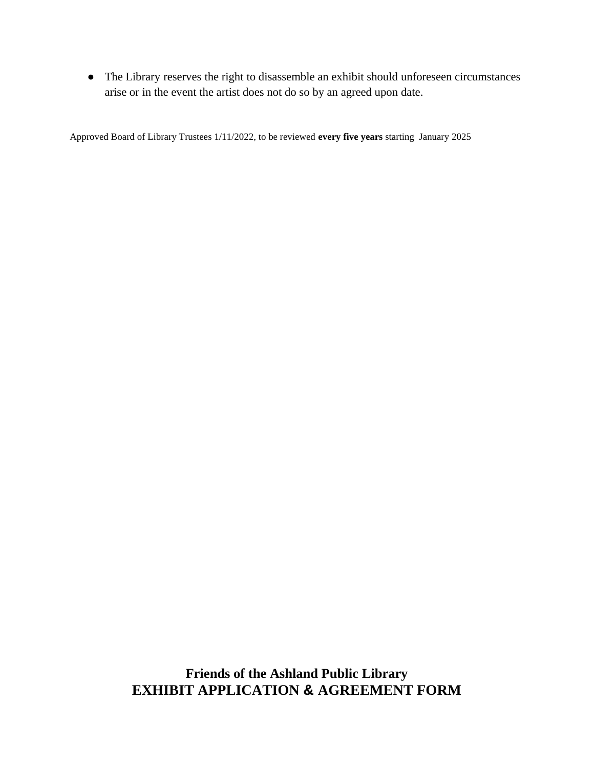● The Library reserves the right to disassemble an exhibit should unforeseen circumstances arise or in the event the artist does not do so by an agreed upon date.

Approved Board of Library Trustees 1/11/2022, to be reviewed **every five years** starting January 2025

**Friends of the Ashland Public Library EXHIBIT APPLICATION & AGREEMENT FORM**